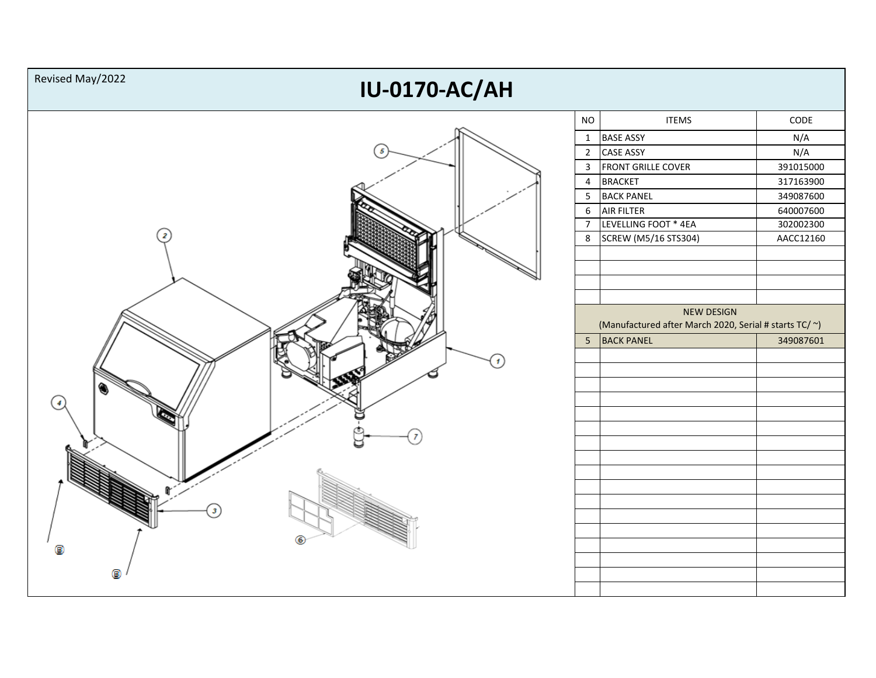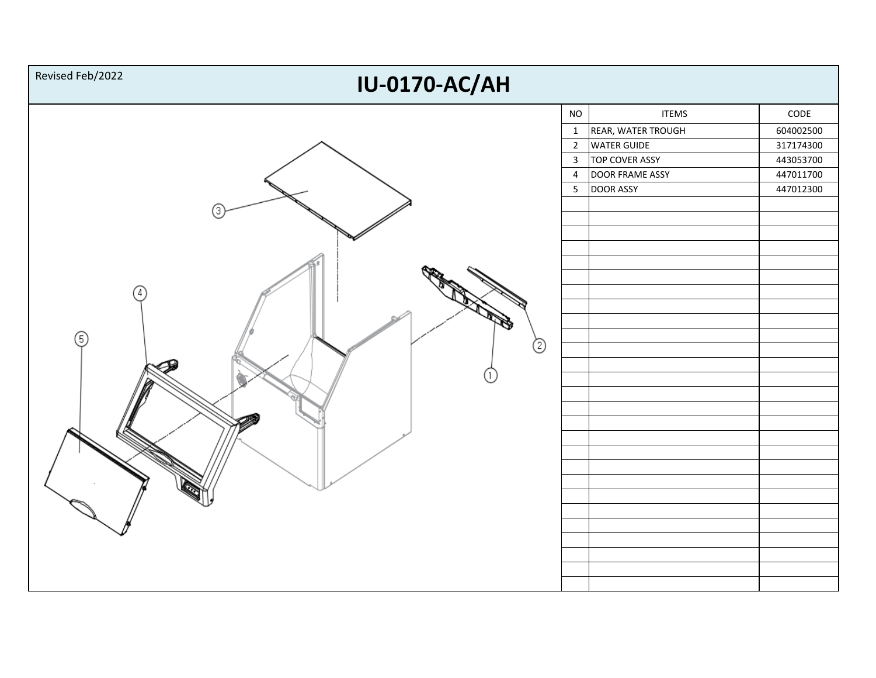| Revised Feb/2022<br><b>IU-0170-AC/AH</b> |                                                                                                           |                                                                                                                                 |                                                                                  |  |  |
|------------------------------------------|-----------------------------------------------------------------------------------------------------------|---------------------------------------------------------------------------------------------------------------------------------|----------------------------------------------------------------------------------|--|--|
| 4<br>6<br>◎                              | $\rm NO$<br>$\mathbf{1}$<br>$\overline{2}$<br>$\overline{\mathbf{3}}$<br>$\overline{4}$<br>$5\phantom{.}$ | <b>ITEMS</b><br>REAR, WATER TROUGH<br><b>WATER GUIDE</b><br><b>TOP COVER ASSY</b><br><b>DOOR FRAME ASSY</b><br><b>DOOR ASSY</b> | $\mathsf{CODE}$<br>604002500<br>317174300<br>443053700<br>447011700<br>447012300 |  |  |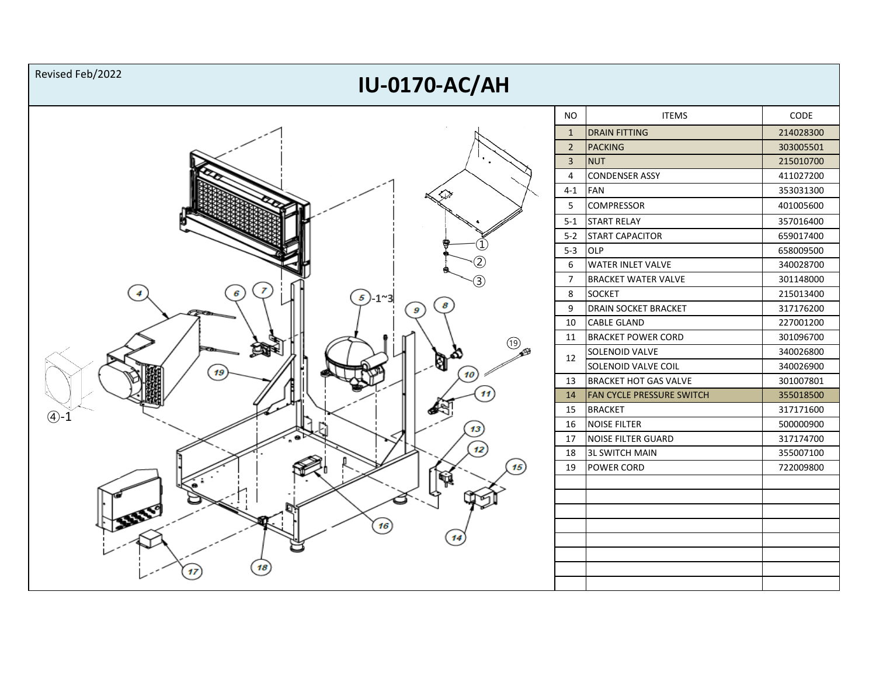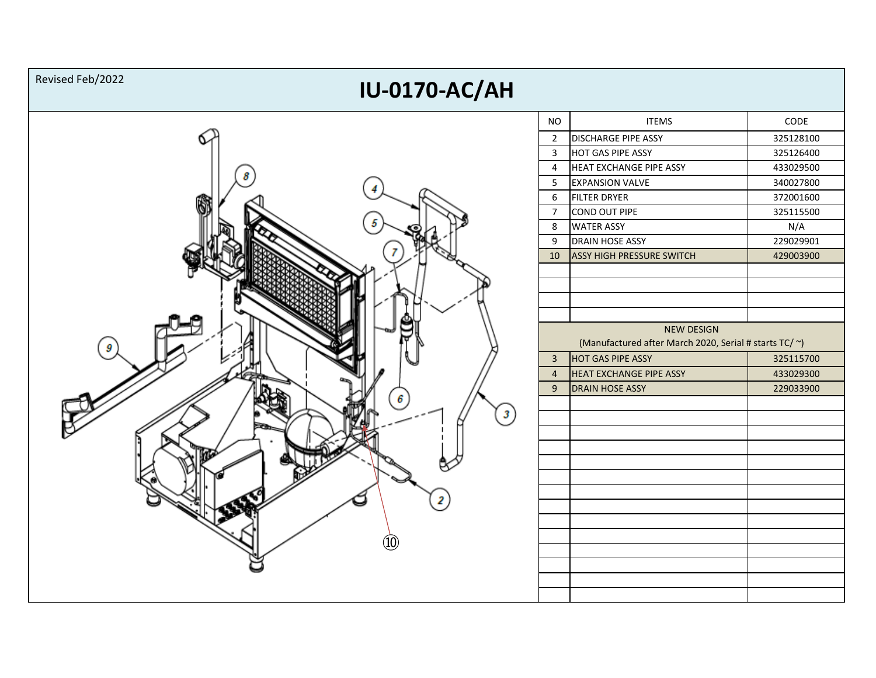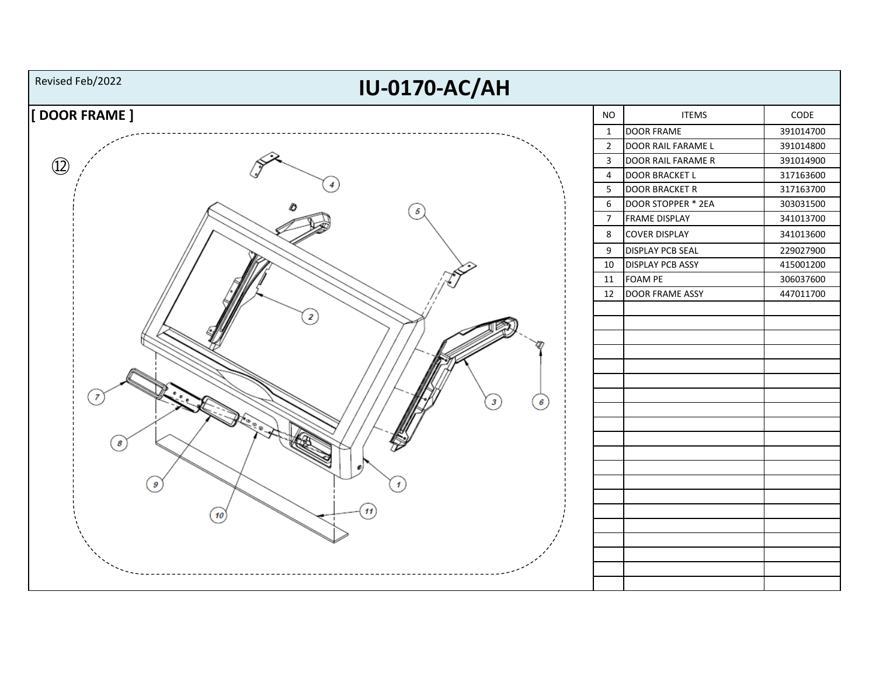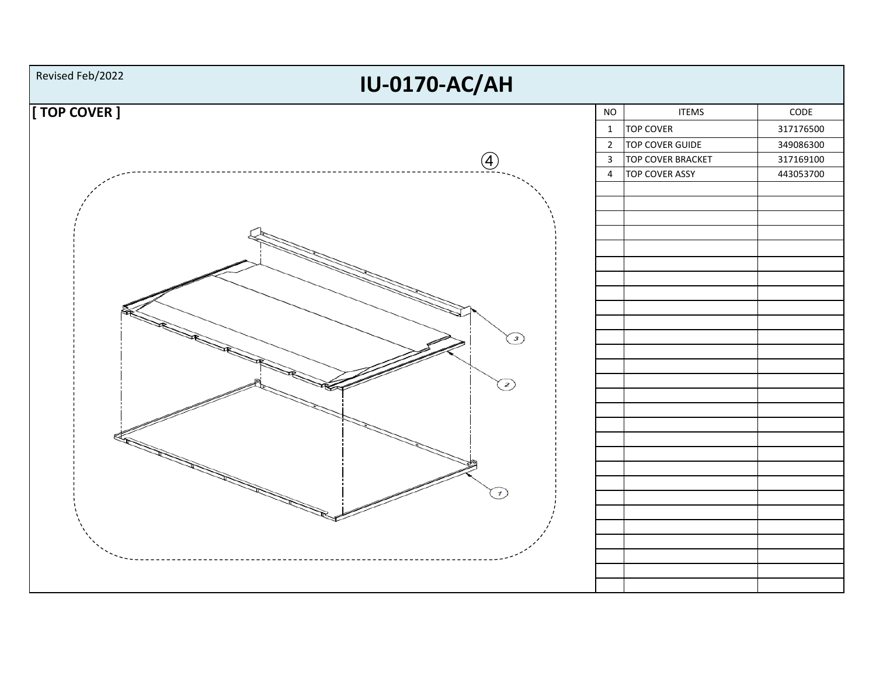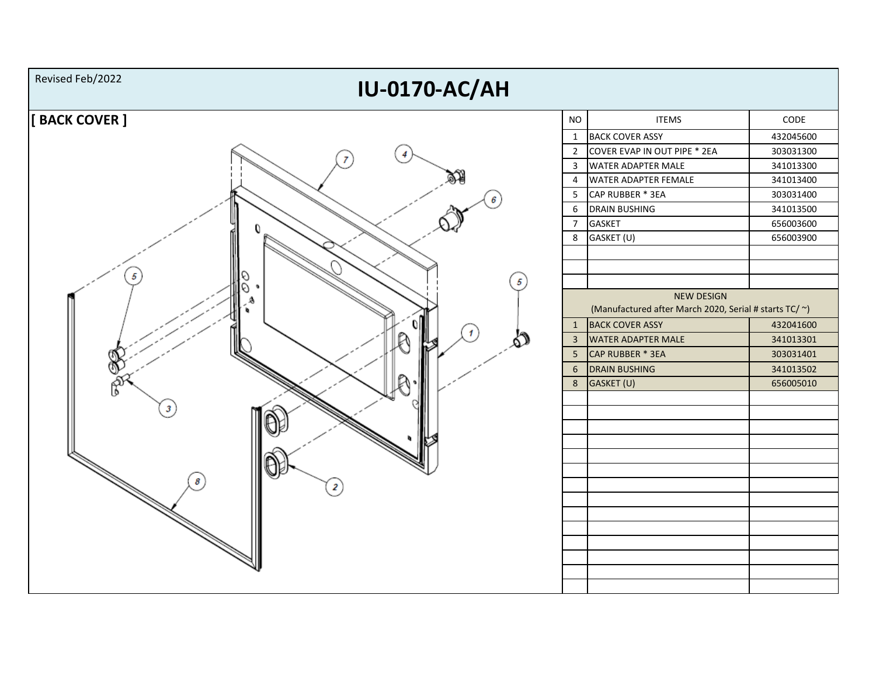![](_page_6_Figure_0.jpeg)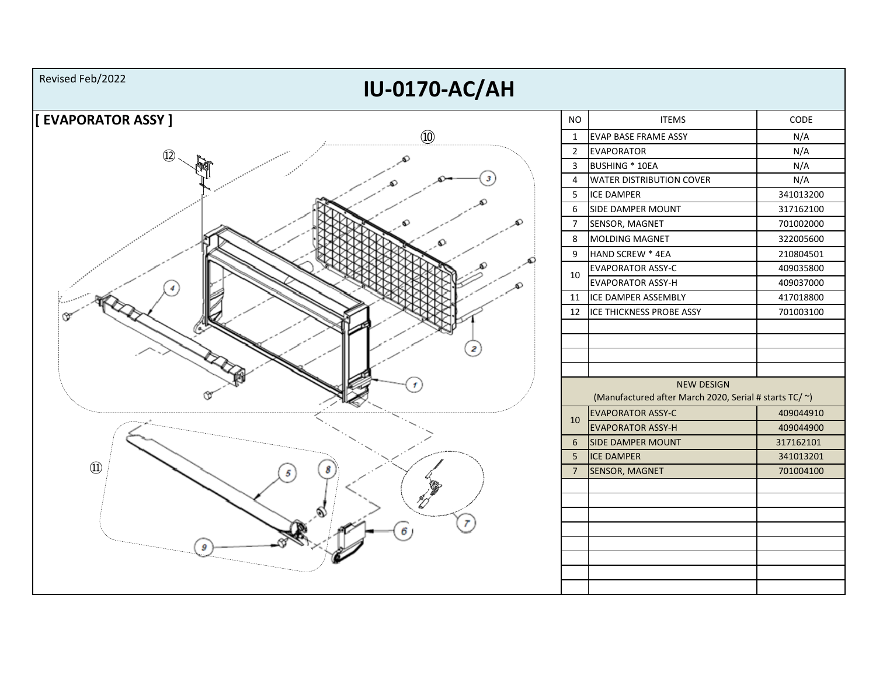![](_page_7_Figure_0.jpeg)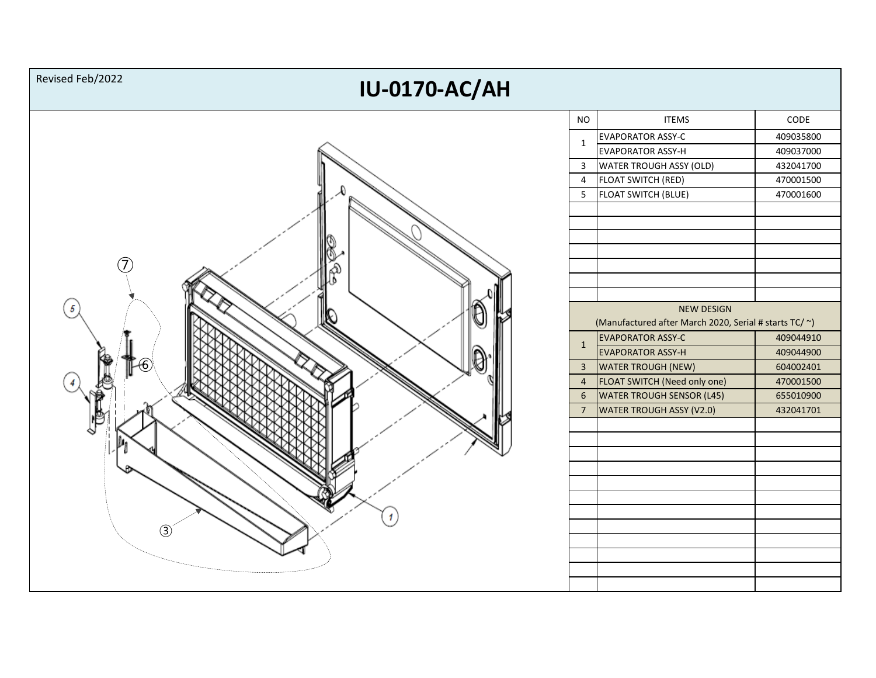![](_page_8_Figure_0.jpeg)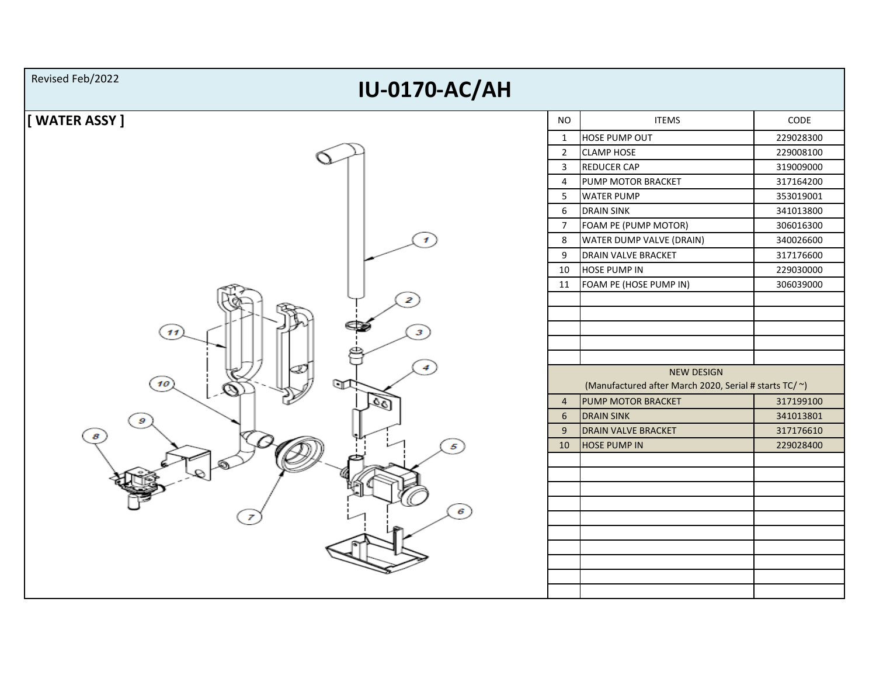![](_page_9_Figure_0.jpeg)